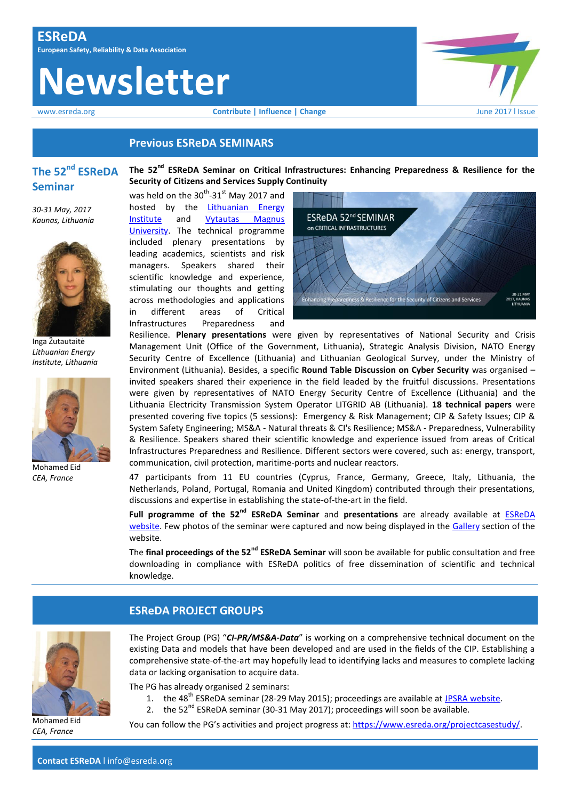# **Newsletter**





# **Previous ESReDA SEMINARS**

# **The 52nd ESReDA Seminar**

**The 52nd ESReDA Seminar on Critical Infrastructures: Enhancing Preparedness & Resilience for the Security of Citizens and Services Supply Continuity**

*30-31 May, 2017 Kaunas, Lithuania*



Inga Žutautaitė *Lithuanian Energy Institute, Lithuania*



Mohamed Eid *CEA, France*





Resilience. **Plenary presentations** were given by representatives of National Security and Crisis Management Unit (Office of the Government, Lithuania), Strategic Analysis Division, NATO Energy Security Centre of Excellence (Lithuania) and Lithuanian Geological Survey, under the Ministry of Environment (Lithuania). Besides, a specific **Round Table Discussion on Cyber Security** was organised – invited speakers shared their experience in the field leaded by the fruitful discussions. Presentations were given by representatives of NATO Energy Security Centre of Excellence (Lithuania) and the Lithuania Electricity Transmission System Operator LITGRID AB (Lithuania). **18 technical papers** were presented covering five topics (5 sessions): Emergency & Risk Management; CIP & Safety Issues; CIP & System Safety Engineering; MS&A - Natural threats & CI's Resilience; MS&A - Preparedness, Vulnerability & Resilience. Speakers shared their scientific knowledge and experience issued from areas of Critical Infrastructures Preparedness and Resilience. Different sectors were covered, such as: energy, transport, communication, civil protection, maritime-ports and nuclear reactors.

47 participants from 11 EU countries (Cyprus, France, Germany, Greece, Italy, Lithuania, the Netherlands, Poland, Portugal, Romania and United Kingdom) contributed through their presentations, discussions and expertise in establishing the state-of-the-art in the field.

**Full programme of the 52nd ESReDA Seminar** and **presentations** are already available at [ESReDA](https://www.esreda.org/52nd-esreda-seminar-on-critical-infrastructures-may-30-31-kaunas-lithuania/)  [website.](https://www.esreda.org/52nd-esreda-seminar-on-critical-infrastructures-may-30-31-kaunas-lithuania/) Few photos of the seminar were captured and now being displayed in the [Gallery](https://www.esreda.org/gallery/) section of the website.

The **final proceedings of the 52nd ESReDA Seminar** will soon be available for public consultation and free downloading in compliance with ESReDA politics of free dissemination of scientific and technical knowledge.

Mohamed Eid *CEA, France*

# **ESReDA PROJECT GROUPS**

The Project Group (PG) "CI-PR/MS&A-Data" is working on a comprehensive technical document on the existing Data and models that have been developed and are used in the fields of the CIP. Establishing a comprehensive state‐of‐the‐art may hopefully lead to identifying lacks and measures to complete lacking data or lacking organisation to acquire data.

The PG has already organised 2 seminars:

- 1. the 48<sup>th</sup> ESReDA seminar (28-29 May 2015); proceedings are available at J*PSRA website*.
- 2. the  $52^{nd}$  ESReDA seminar (30-31 May 2017); proceedings will soon be available.

You can follow the PG's activities and project progress at: [https://www.esreda.org/projectcasestudy/.](https://www.esreda.org/projectcasestudy/)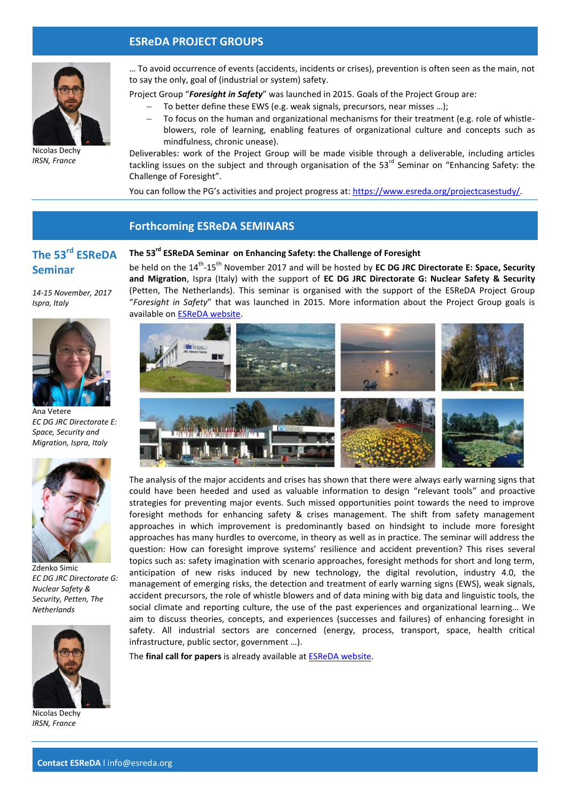# **ESReDA PROJECT GROUPS**



*IRSN, France*

… To avoid occurrence of events (accidents, incidents or crises), prevention is often seen as the main, not to say the only, goal of (industrial or system) safety.

Project Group "*Foresight in Safety*" was launched in 2015. Goals of the Project Group are:

- To better define these EWS (e.g. weak signals, precursors, near misses …);
- To focus on the human and organizational mechanisms for their treatment (e.g. role of whistleblowers, role of learning, enabling features of organizational culture and concepts such as mindfulness, chronic unease).

Deliverables: work of the Project Group will be made visible through a deliverable, including articles tackling issues on the subject and through organisation of the 53<sup>rd</sup> Seminar on "Enhancing Safety: the Challenge of Foresight".

You can follow the PG's activities and project progress at: [https://www.esreda.org/projectcasestudy/.](https://www.esreda.org/projectcasestudy/)

## **Forthcoming ESReDA SEMINARS**

# **The 53rd ESReDA Seminar**

*14-15 November, 2017*

*Ispra, Italy*

# **The 53rd ESReDA Seminar on Enhancing Safety: the Challenge of Foresight** be held on the 14<sup>th</sup>-15<sup>th</sup> November 2017 and will be hosted by **EC DG JRC Directorate E: Space, Security**

**and Migration**, Ispra (Italy) with the support of **EC DG JRC Directorate G: Nuclear Safety & Security** (Petten, The Netherlands). This seminar is organised with the support of the ESReDA Project Group "*Foresight in Safety*" that was launched in 2015. More information about the Project Group goals is available on [ESReDA website.](https://www.esreda.org/projectcasestudy/foresight-in-safety/)



The analysis of the major accidents and crises has shown that there were always early warning signs that could have been heeded and used as valuable information to design "relevant tools" and proactive strategies for preventing major events. Such missed opportunities point towards the need to improve foresight methods for enhancing safety & crises management. The shift from safety management approaches in which improvement is predominantly based on hindsight to include more foresight approaches has many hurdles to overcome, in theory as well as in practice. The seminar will address the question: How can foresight improve systems' resilience and accident prevention? This rises several topics such as: safety imagination with scenario approaches, foresight methods for short and long term, anticipation of new risks induced by new technology, the digital revolution, industry 4.0, the management of emerging risks, the detection and treatment of early warning signs (EWS), weak signals, accident precursors, the role of whistle blowers and of data mining with big data and linguistic tools, the social climate and reporting culture, the use of the past experiences and organizational learning… We aim to discuss theories, concepts, and experiences (successes and failures) of enhancing foresight in safety. All industrial sectors are concerned (energy, process, transport, space, health critical infrastructure, public sector, government …).

The **final call for papers** is already available at [ESReDA website.](https://www.esreda.org/event/53rd-esreda-seminar/)





Zdenko Simic *EC DG JRC Directorate G: Nuclear Safety & Security, Petten, The Netherlands*



Nicolas Dechy *IRSN, France*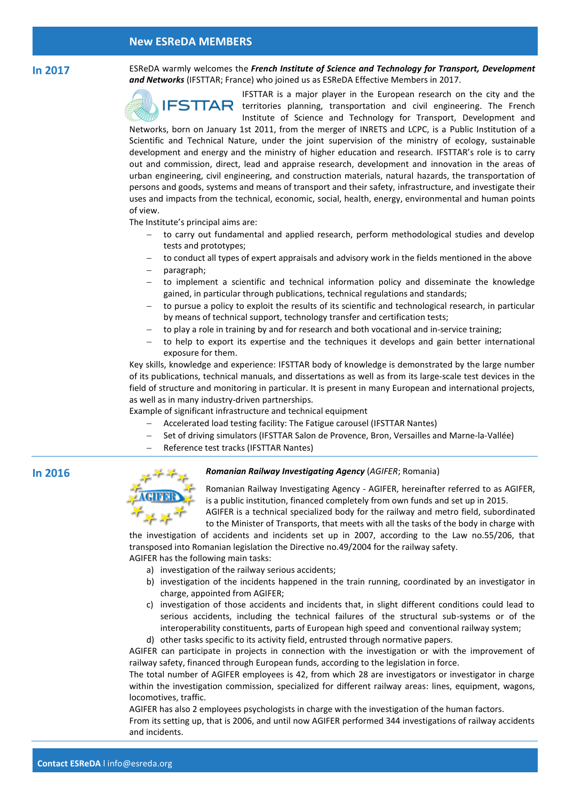#### **Contact ESReDA** l info@esreda.org

## **New ESReDA MEMBERS**

**In 2017** ESReDA warmly welcomes the *French Institute of Science and Technology for Transport, Development and Networks* (IFSTTAR; France) who joined us as ESReDA Effective Members in 2017.



IFSTTAR is a major player in the European research on the city and the  $IFSTTAR$  territories planning, transportation and civil engineering. The French Institute of Science and Technology for Transport, Development and

Networks, born on January 1st 2011, from the merger of INRETS and LCPC, is a Public Institution of a Scientific and Technical Nature, under the joint supervision of the ministry of ecology, sustainable development and energy and the ministry of higher education and research. IFSTTAR's role is to carry out and commission, direct, lead and appraise research, development and innovation in the areas of urban engineering, civil engineering, and construction materials, natural hazards, the transportation of persons and goods, systems and means of transport and their safety, infrastructure, and investigate their uses and impacts from the technical, economic, social, health, energy, environmental and human points of view.

The Institute's principal aims are:

- to carry out fundamental and applied research, perform methodological studies and develop tests and prototypes;
- to conduct all types of expert appraisals and advisory work in the fields mentioned in the above
- paragraph;
- to implement a scientific and technical information policy and disseminate the knowledge gained, in particular through publications, technical regulations and standards;
- to pursue a policy to exploit the results of its scientific and technological research, in particular by means of technical support, technology transfer and certification tests;
- to play a role in training by and for research and both vocational and in-service training;
- to help to export its expertise and the techniques it develops and gain better international exposure for them.

Key skills, knowledge and experience: IFSTTAR body of knowledge is demonstrated by the large number of its publications, technical manuals, and dissertations as well as from its large‐scale test devices in the field of structure and monitoring in particular. It is present in many European and international projects, as well as in many industry‐driven partnerships.

Example of significant infrastructure and technical equipment

- Accelerated load testing facility: The Fatigue carousel (IFSTTAR Nantes)
- Set of driving simulators (IFSTTAR Salon de Provence, Bron, Versailles and Marne‐la‐Vallée)
- Reference test tracks (IFSTTAR Nantes)



## **In 2016** *Romanian Railway Investigating Agency* (*AGIFER*; Romania)

Romanian Railway Investigating Agency - AGIFER, hereinafter referred to as AGIFER, is a public institution, financed completely from own funds and set up in 2015. AGIFER is a technical specialized body for the railway and metro field, subordinated

to the Minister of Transports, that meets with all the tasks of the body in charge with the investigation of accidents and incidents set up in 2007, according to the Law no.55/206, that

transposed into Romanian legislation the Directive no.49/2004 for the railway safety. AGIFER has the following main tasks:

- a) investigation of the railway serious accidents;
- b) investigation of the incidents happened in the train running, coordinated by an investigator in charge, appointed from AGIFER;
- c) investigation of those accidents and incidents that, in slight different conditions could lead to serious accidents, including the technical failures of the structural sub-systems or of the interoperability constituents, parts of European high speed and conventional railway system; d) other tasks specific to its activity field, entrusted through normative papers.

AGIFER can participate in projects in connection with the investigation or with the improvement of railway safety, financed through European funds, according to the legislation in force.

The total number of AGIFER employees is 42, from which 28 are investigators or investigator in charge within the investigation commission, specialized for different railway areas: lines, equipment, wagons, locomotives, traffic.

AGIFER has also 2 employees psychologists in charge with the investigation of the human factors. From its setting up, that is 2006, and until now AGIFER performed 344 investigations of railway accidents and incidents.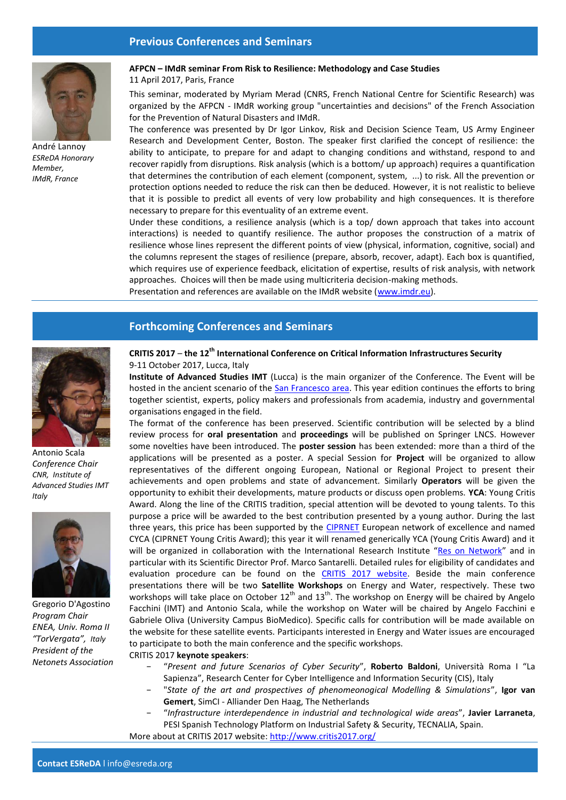# **Previous Conferences and Seminars**



André Lannoy *ESReDA Honorary Member, IMdR, France*

### **AFPCN – IMdR seminar From Risk to Resilience: Methodology and Case Studies**

#### 11 April 2017, Paris, France

This seminar, moderated by Myriam Merad (CNRS, French National Centre for Scientific Research) was organized by the AFPCN - IMdR working group "uncertainties and decisions" of the French Association for the Prevention of Natural Disasters and IMdR.

The conference was presented by Dr Igor Linkov, Risk and Decision Science Team, US Army Engineer Research and Development Center, Boston. The speaker first clarified the concept of resilience: the ability to anticipate, to prepare for and adapt to changing conditions and withstand, respond to and recover rapidly from disruptions. Risk analysis (which is a bottom/ up approach) requires a quantification that determines the contribution of each element (component, system, ...) to risk. All the prevention or protection options needed to reduce the risk can then be deduced. However, it is not realistic to believe that it is possible to predict all events of very low probability and high consequences. It is therefore necessary to prepare for this eventuality of an extreme event.

Under these conditions, a resilience analysis (which is a top/ down approach that takes into account interactions) is needed to quantify resilience. The author proposes the construction of a matrix of resilience whose lines represent the different points of view (physical, information, cognitive, social) and the columns represent the stages of resilience (prepare, absorb, recover, adapt). Each box is quantified, which requires use of experience feedback, elicitation of expertise, results of risk analysis, with network approaches. Choices will then be made using multicriteria decision-making methods.

Presentation and references are available on the IMdR website [\(www.imdr.eu\)](http://www.imdr.eu/).

# **Forthcoming Conferences and Seminars**



Antonio Scala *Conference Chair CNR, Institute of Advanced Studies IMT Italy*



Gregorio D'Agostino *Program Chair ENEA, Univ. Roma II "TorVergata", Italy President of the Netonets Association*

## **CRITIS 2017** – **the 12th International Conference on Critical Information Infrastructures Security** 9-11 October 2017, Lucca, Italy

**Institute of Advanced Studies IMT** (Lucca) is the main organizer of the Conference. The Event will be hosted in the ancient scenario of the [San Francesco area.](http://www.critis2017.org/venue.php) This year edition continues the efforts to bring together scientist, experts, policy makers and professionals from academia, industry and governmental organisations engaged in the field.

The format of the conference has been preserved. Scientific contribution will be selected by a blind review process for **oral presentation** and **proceedings** will be published on Springer LNCS. However some novelties have been introduced. The **poster session** has been extended: more than a third of the applications will be presented as a poster. A special Session for **Project** will be organized to allow representatives of the different ongoing European, National or Regional Project to present their achievements and open problems and state of advancement. Similarly **Operators** will be given the opportunity to exhibit their developments, mature products or discuss open problems. **YCA**: Young Critis Award. Along the line of the CRITIS tradition, special attention will be devoted to young talents. To this purpose a price will be awarded to the best contribution presented by a young author. During the last three years, this price has been supported by the [CIPRNET](http://www.ciprnet.eu/) European network of excellence and named CYCA (CIPRNET Young Critis Award); this year it will renamed generically YCA (Young Critis Award) and it will be organized in collaboration with the International Research Institute "[Res on Network](http://www.resonnetwok.it/)" and in particular with its Scientific Director Prof. Marco Santarelli. Detailed rules for eligibility of candidates and evaluation procedure can be found on the CRITIS [2017 website.](http://www.critis2017.org/YCA.php) Beside the main conference presentations there will be two **Satellite Workshops** on Energy and Water, respectively. These two workshops will take place on October  $12^{th}$  and  $13^{th}$ . The workshop on Energy will be chaired by Angelo Facchini (IMT) and Antonio Scala, while the workshop on Water will be chaired by Angelo Facchini e Gabriele Oliva (University Campus BioMedico). Specific calls for contribution will be made available on the website for these satellite events. Participants interested in Energy and Water issues are encouraged to participate to both the main conference and the specific workshops.

CRITIS 2017 **keynote speakers**:

- − "*Present and future Scenarios of Cyber Security*", **Roberto Baldoni**, Università Roma I "La Sapienza", Research Center for Cyber Intelligence and Information Security (CIS), Italy
- − "*State of the art and prospectives of phenomeonogical Modelling & Simulations*", **Igor van Gemert**, SimCI - Alliander Den Haag, The Netherlands
- − "*Infrastructure interdependence in industrial and technological wide areas*", **Javier Larraneta**, PESI Spanish Technology Platform on Industrial Safety & Security, TECNALIA, Spain. More about at CRITIS 2017 website:<http://www.critis2017.org/>